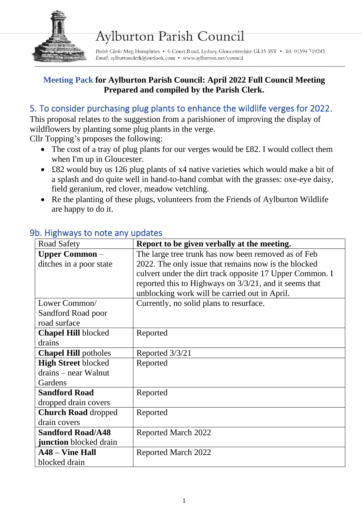

# **Aylburton Parish Council**

Parish Clerk: Meg Humphries • 6 Court Road, Lydney, Gloucestershire GL15 5SY • Tel: 01594 719245 Email: aylburtonclerk@outlook.com • www.aylburton.net/council

#### **Meeting Pack for Aylburton Parish Council: April 2022 Full Council Meeting Prepared and compiled by the Parish Clerk.**

# 5. To consider purchasing plug plants to enhance the wildlife verges for 2022.

This proposal relates to the suggestion from a parishioner of improving the display of wildflowers by planting some plug plants in the verge.

Cllr Topping's proposes the following:

- The cost of a tray of plug plants for our verges would be £82. I would collect them when I'm up in Gloucester.
- £82 would buy us 126 plug plants of x4 native varieties which would make a bit of a splash and do quite well in hand-to-hand combat with the grasses: oxe-eye daisy, field geranium, red clover, meadow vetchling.
- Re the planting of these plugs, volunteers from the Friends of Aylburton Wildlife are happy to do it.

| Road Safety                   | Report to be given verbally at the meeting.              |
|-------------------------------|----------------------------------------------------------|
| <b>Upper Common</b> –         | The large tree trunk has now been removed as of Feb      |
| ditches in a poor state       | 2022. The only issue that remains now is the blocked     |
|                               | culvert under the dirt track opposite 17 Upper Common. I |
|                               | reported this to Highways on 3/3/21, and it seems that   |
|                               | unblocking work will be carried out in April.            |
| Lower Common/                 | Currently, no solid plans to resurface.                  |
| Sandford Road poor            |                                                          |
| road surface                  |                                                          |
| <b>Chapel Hill blocked</b>    | Reported                                                 |
| drains                        |                                                          |
| <b>Chapel Hill potholes</b>   | Reported 3/3/21                                          |
| <b>High Street blocked</b>    | Reported                                                 |
| drains – near Walnut          |                                                          |
| Gardens                       |                                                          |
| <b>Sandford Road</b>          | Reported                                                 |
| dropped drain covers          |                                                          |
| <b>Church Road dropped</b>    | Reported                                                 |
| drain covers                  |                                                          |
| <b>Sandford Road/A48</b>      | <b>Reported March 2022</b>                               |
| <b>junction</b> blocked drain |                                                          |
| <b>A48 – Vine Hall</b>        | Reported March 2022                                      |
| blocked drain                 |                                                          |

#### 9b. Highways to note any updates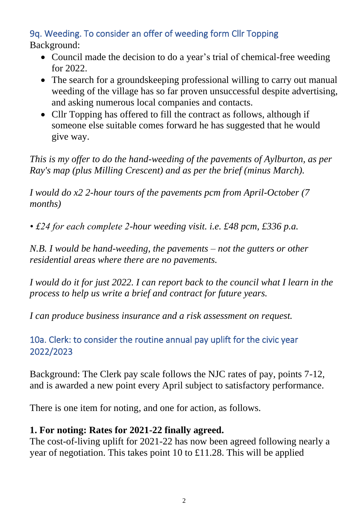## 9q. Weeding. To consider an offer of weeding form Cllr Topping Background:

- Council made the decision to do a year's trial of chemical-free weeding for 2022.
- The search for a groundskeeping professional willing to carry out manual weeding of the village has so far proven unsuccessful despite advertising, and asking numerous local companies and contacts.
- Cllr Topping has offered to fill the contract as follows, although if someone else suitable comes forward he has suggested that he would give way.

*This is my offer to do the hand-weeding of the pavements of Aylburton, as per Ray's map (plus Milling Crescent) and as per the brief (minus March).*

*I would do x2 2-hour tours of the pavements pcm from April-October (7 months)*

*• £24 for each complete 2-hour weeding visit. i.e. £48 pcm, £336 p.a.*

*N.B. I would be hand-weeding, the pavements – not the gutters or other residential areas where there are no pavements.*

*I* would do it for just 2022. *I can report back to the council what I learn in the process to help us write a brief and contract for future years.*

*I can produce business insurance and a risk assessment on request.*

10a. Clerk: to consider the routine annual pay uplift for the civic year 2022/2023

Background: The Clerk pay scale follows the NJC rates of pay, points 7-12, and is awarded a new point every April subject to satisfactory performance.

There is one item for noting, and one for action, as follows.

## **1. For noting: Rates for 2021-22 finally agreed.**

The cost-of-living uplift for 2021-22 has now been agreed following nearly a year of negotiation. This takes point 10 to £11.28. This will be applied